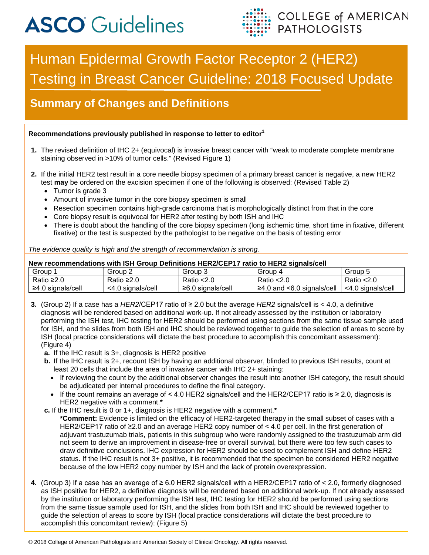# **ASCO** Guidelines



# Human Epidermal Growth Factor Receptor 2 (HER2) Testing in Breast Cancer Guideline: 2018 Focused Update

# **Summary of Changes and Definitions**

#### **Recommendations previously published in response to letter to editor<sup>1</sup>**

- **1.** The revised definition of IHC 2+ (equivocal) is invasive breast cancer with "weak to moderate complete membrane staining observed in >10% of tumor cells." (Revised Figure 1)
- **2.** If the initial HER2 test result in a core needle biopsy specimen of a primary breast cancer is negative, a new HER2 test **may** be ordered on the excision specimen if one of the following is observed: (Revised Table 2)
	- Tumor is grade 3
	- Amount of invasive tumor in the core biopsy specimen is small
	- Resection specimen contains high-grade carcinoma that is morphologically distinct from that in the core
	- Core biopsy result is equivocal for HER2 after testing by both ISH and IHC
	- There is doubt about the handling of the core biopsy specimen (long ischemic time, short time in fixative, different fixative) or the test is suspected by the pathologist to be negative on the basis of testing error

### *The evidence quality is high and the strength of recommendation is strong.* **New recommendations with ISH Group Definitions HER2/CEP17 ratio to HER2 signals/cell** Group 1 | Group 2 | Group 3 | Group 4 | Group 5

| Group             | ے roup∟           | 3 roup            | 4 Group                              | 5 Group           |
|-------------------|-------------------|-------------------|--------------------------------------|-------------------|
| Ratio ≥2.0        | Ratio ≥2.0        | Ratio $<$ 2.0     | Ratio $< 2.0$                        | Ratio $<$ 2.0     |
| ≥4.0 signals/cell | <4.0 signals/cell | ≥6.0 signals/cell | $\ge$ 4.0 and $\le$ 6.0 signals/cell | <4.0 signals/cell |
|                   |                   |                   |                                      |                   |

- **3.** (Group 2) If a case has a *HER2*/CEP17 ratio of ≥ 2.0 but the average *HER2* signals/cell is < 4.0, a definitive diagnosis will be rendered based on additional work-up. If not already assessed by the institution or laboratory performing the ISH test, IHC testing for HER2 should be performed using sections from the same tissue sample used for ISH, and the slides from both ISH and IHC should be reviewed together to guide the selection of areas to score by ISH (local practice considerations will dictate the best procedure to accomplish this concomitant assessment): (Figure 4)
	- **a.** If the IHC result is 3+, diagnosis is HER2 positive
	- **b.** If the IHC result is 2+, recount ISH by having an additional observer, blinded to previous ISH results, count at least 20 cells that include the area of invasive cancer with IHC 2+ staining:
		- If reviewing the count by the additional observer changes the result into another ISH category, the result should be adjudicated per internal procedures to define the final category.
		- If the count remains an average of < 4.0 HER2 signals/cell and the HER2/CEP17 ratio is ≥ 2.0, diagnosis is HER2 negative with a comment.**\***
	- **c.** If the IHC result is 0 or 1+, diagnosis is HER2 negative with a comment.**\***
		- **\*Comment:** Evidence is limited on the efficacy of HER2-targeted therapy in the small subset of cases with a HER2/CEP17 ratio of ≥2.0 and an average HER2 copy number of < 4.0 per cell. In the first generation of adjuvant trastuzumab trials, patients in this subgroup who were randomly assigned to the trastuzumab arm did not seem to derive an improvement in disease-free or overall survival, but there were too few such cases to draw definitive conclusions. IHC expression for HER2 should be used to complement ISH and define HER2 status. If the IHC result is not 3+ positive, it is recommended that the specimen be considered HER2 negative because of the low HER2 copy number by ISH and the lack of protein overexpression.
- **4.** (Group 3) If a case has an average of ≥ 6.0 HER2 signals/cell with a HER2/CEP17 ratio of < 2.0, formerly diagnosed as ISH positive for HER2, a definitive diagnosis will be rendered based on additional work-up. If not already assessed by the institution or laboratory performing the ISH test, IHC testing for HER2 should be performed using sections from the same tissue sample used for ISH, and the slides from both ISH and IHC should be reviewed together to guide the selection of areas to score by ISH (local practice considerations will dictate the best procedure to accomplish this concomitant review): (Figure 5)